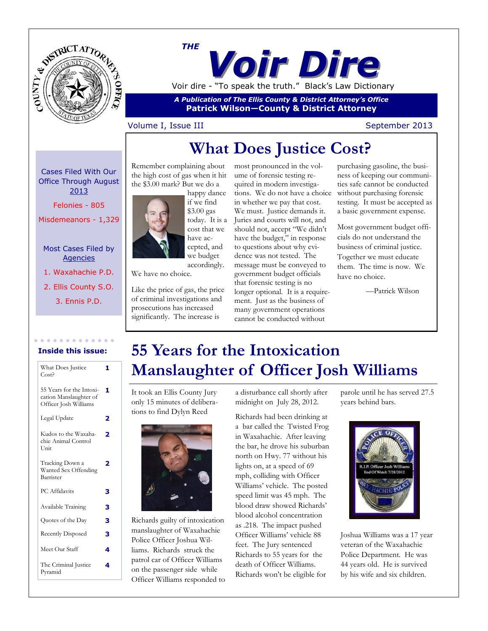



*A Publication of The Ellis County & District Attorney's Office* **Patrick Wilson—County & District Attorney**

### Volume I, Issue III September 2013

# **What Does Justice Cost?**

Cases Filed With Our Office Through August 2013

Felonies - 805

Misdemeanors - 1,329

### Most Cases Filed by Agencies

1. Waxahachie P.D.

2. Ellis County S.O.

3. Ennis P.D.



Remember complaining about the high cost of gas when it hit

accordingly. We have no choice.

Like the price of gas, the price of criminal investigations and prosecutions has increased significantly. The increase is

most pronounced in the volume of forensic testing required in modern investigations. We do not have a choice in whether we pay that cost. We must. Justice demands it. Juries and courts will not, and should not, accept "We didn't have the budget," in response to questions about why evidence was not tested. The message must be conveyed to government budget officials that forensic testing is no longer optional. It is a requirement. Just as the business of many government operations cannot be conducted without

purchasing gasoline, the business of keeping our communities safe cannot be conducted without purchasing forensic testing. It must be accepted as a basic government expense.

Most government budget officials do not understand the business of criminal justice. Together we must educate them. The time is now. We have no choice.

—Patrick Wilson

### **Inside this issue:**

| What Does Justice<br>Cost?                                                  | 1 |
|-----------------------------------------------------------------------------|---|
| 55 Years for the Intoxi-<br>cation Manslaughter of<br>Officer Josh Williams | 1 |
| Legal Update                                                                | 2 |
| Kudos to the Waxaha-<br>chie Animal Control<br>Unit                         | 2 |
| Tracking Down a<br>Wanted Sex Offending<br>Barrister                        | 2 |
| PC Affidavits                                                               | 3 |
| Available Training                                                          | 3 |
| Quotes of the Day                                                           | 3 |
| Recently Disposed                                                           | 3 |
| Meet Our Staff                                                              | 4 |
| The Criminal Justice<br>Pyramid                                             | 4 |

# **55 Years for the Intoxication Manslaughter of Officer Josh Williams**

It took an Ellis County Jury only 15 minutes of deliberations to find Dylyn Reed



Richards guilty of intoxication manslaughter of Waxahachie Police Officer Joshua Williams. Richards struck the patrol car of Officer Williams on the passenger side while Officer Williams responded to a disturbance call shortly after midnight on July 28, 2012.

Richards had been drinking at a bar called the Twisted Frog in Waxahachie. After leaving the bar, he drove his suburban north on Hwy. 77 without his lights on, at a speed of 69 mph, colliding with Officer Williams' vehicle. The posted speed limit was 45 mph. The blood draw showed Richards' blood alcohol concentration as .218. The impact pushed Officer Williams' vehicle 88 feet. The Jury sentenced Richards to 55 years for the death of Officer Williams. Richards won't be eligible for

parole until he has served 27.5 years behind bars.



Joshua Williams was a 17 year veteran of the Waxahachie Police Department. He was 44 years old. He is survived by his wife and six children.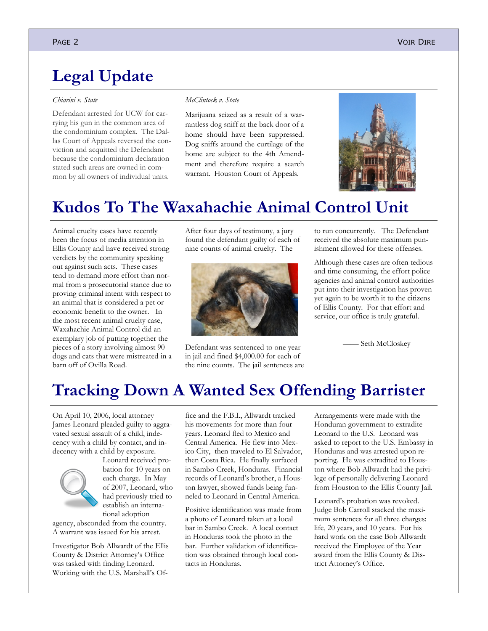# **Legal Update**

#### *[Chiarini v. State](http://www.search.txcourts.gov/SearchMedia.aspx?MediaVersionID=a7c5611c-5f97-4dba-b2e2-94cc0272f366&MediaID=87bb0f83-0748-47c9-bbcd-369c43ac505b&coa=%22%20+%20this.CurrentWebState.CurrentCourt%20+%20@%22&DT=Opinion)*

Defendant arrested for UCW for carrying his gun in the common area of the condominium complex. The Dallas Court of Appeals reversed the conviction and acquitted the Defendant because the condominium declaration stated such areas are owned in common by all owners of individual units.

#### *McClintock v. State*

Marijuana seized as a result of a warrantless dog sniff at the back door of a home should have been suppressed. Dog sniffs around the curtilage of the home are subject to the 4th Amendment and therefore require a search warrant. Houston Court of Appeals.



### **Kudos To The Waxahachie Animal Control Unit**

Animal cruelty cases have recently been the focus of media attention in Ellis County and have received strong verdicts by the community speaking out against such acts. These cases tend to demand more effort than normal from a prosecutorial stance due to proving criminal intent with respect to an animal that is considered a pet or economic benefit to the owner. In the most recent animal cruelty case, Waxahachie Animal Control did an exemplary job of putting together the pieces of a story involving almost 90 dogs and cats that were mistreated in a barn off of Ovilla Road.

After four days of testimony, a jury found the defendant guilty of each of nine counts of animal cruelty. The



Defendant was sentenced to one year in jail and fined \$4,000.00 for each of the nine counts. The jail sentences are to run concurrently. The Defendant received the absolute maximum punishment allowed for these offenses.

Although these cases are often tedious and time consuming, the effort police agencies and animal control authorities put into their investigation has proven yet again to be worth it to the citizens of Ellis County. For that effort and service, our office is truly grateful.

—— Seth McCloskey

## **Tracking Down A Wanted Sex Offending Barrister**

On April 10, 2006, local attorney James Leonard pleaded guilty to aggravated sexual assault of a child, indecency with a child by contact, and indecency with a child by exposure.



Leonard received probation for 10 years on each charge. In May of 2007, Leonard, who had previously tried to establish an international adoption

agency, absconded from the country. A warrant was issued for his arrest.

Investigator Bob Allwardt of the Ellis County & District Attorney's Office was tasked with finding Leonard. Working with the U.S. Marshall's Of-

fice and the F.B.I., Allwardt tracked his movements for more than four years. Leonard fled to Mexico and Central America. He flew into Mexico City, then traveled to El Salvador, then Costa Rica. He finally surfaced in Sambo Creek, Honduras. Financial records of Leonard's brother, a Houston lawyer, showed funds being funneled to Leonard in Central America.

Positive identification was made from a photo of Leonard taken at a local bar in Sambo Creek. A local contact in Honduras took the photo in the bar. Further validation of identification was obtained through local contacts in Honduras.

Arrangements were made with the Honduran government to extradite Leonard to the U.S. Leonard was asked to report to the U.S. Embassy in Honduras and was arrested upon reporting. He was extradited to Houston where Bob Allwardt had the privilege of personally delivering Leonard from Houston to the Ellis County Jail.

Leonard's probation was revoked. Judge Bob Carroll stacked the maximum sentences for all three charges: life, 20 years, and 10 years. For his hard work on the case Bob Allwardt received the Employee of the Year award from the Ellis County & District Attorney's Office.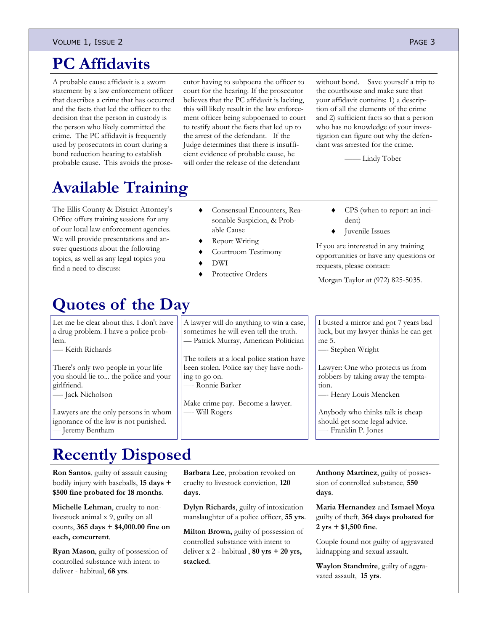#### VOLUME 1, ISSUE 2 PAGE 3

## **PC Affidavits**

A probable cause affidavit is a sworn statement by a law enforcement officer that describes a crime that has occurred and the facts that led the officer to the decision that the person in custody is the person who likely committed the crime. The PC affidavit is frequently used by prosecutors in court during a bond reduction hearing to establish probable cause. This avoids the prose-

cutor having to subpoena the officer to court for the hearing. If the prosecutor believes that the PC affidavit is lacking, this will likely result in the law enforcement officer being subpoenaed to court to testify about the facts that led up to the arrest of the defendant. If the Judge determines that there is insufficient evidence of probable cause, he will order the release of the defendant

without bond. Save yourself a trip to the courthouse and make sure that your affidavit contains: 1) a description of all the elements of the crime and 2) sufficient facts so that a person who has no knowledge of your investigation can figure out why the defendant was arrested for the crime.

—— Lindy Tober

# **Available Training**

The Ellis County & District Attorney's Office offers training sessions for any of our local law enforcement agencies. We will provide presentations and answer questions about the following topics, as well as any legal topics you find a need to discuss:

- Consensual Encounters, Reasonable Suspicion, & Probable Cause
- Report Writing
- Courtroom Testimony
- DWI
- Protective Orders

## **Quotes of the Day**

[Let me be clear about this. I don't have](http://www.brainyquote.com/quotes/quotes/k/keithricha360908.html)  [a drug problem. I have a police prob](http://www.brainyquote.com/quotes/quotes/k/keithricha360908.html)[lem.](http://www.brainyquote.com/quotes/quotes/k/keithricha360908.html)

—- [Keith Richards](http://www.brainyquote.com/quotes/authors/k/keith_richards.html)

[There's only two people in your life](http://www.brainyquote.com/quotes/quotes/j/jacknichol381459.html)  [you should lie to... the police and your](http://www.brainyquote.com/quotes/quotes/j/jacknichol381459.html)  [girlfriend.](http://www.brainyquote.com/quotes/quotes/j/jacknichol381459.html)

—- [Jack Nicholson](http://www.brainyquote.com/quotes/authors/j/jack_nicholson.html)

[Lawyers are the only persons in whom](http://www.brainyquote.com/quotes/quotes/j/jeremybent118455.html)  [ignorance of the law is not punished.](http://www.brainyquote.com/quotes/quotes/j/jeremybent118455.html) — [Jeremy Bentham](http://www.brainyquote.com/quotes/authors/j/jeremy_bentham.html)

A lawyer will do anything to win a case, sometimes he will even tell the truth. — Patrick Murray, American Politician

[The toilets at a local police station have](http://www.brainyquote.com/quotes/quotes/r/ronniebark326985.html)  [been stolen. Police say they have noth](http://www.brainyquote.com/quotes/quotes/r/ronniebark326985.html)[ing to go on.](http://www.brainyquote.com/quotes/quotes/r/ronniebark326985.html) —- [Ronnie Barker](http://www.brainyquote.com/quotes/authors/r/ronnie_barker.html)

Make crime pay. Become a lawyer. —- Will Rogers

dent) Juvenile Issues

CPS (when to report an inci-

If you are interested in any training opportunities or have any questions or requests, please contact:

Morgan Taylor at (972) 825-5035.

I busted a mirror and got 7 years bad luck, but my lawyer thinks he can get me 5.

—- Stephen Wright

Lawyer: One who protects us from robbers by taking away the temptation.

—- Henry Louis Mencken

[Anybody who thinks talk is cheap](http://www.brainyquote.com/quotes/quotes/f/franklinp157126.html)  [should get some legal advice.](http://www.brainyquote.com/quotes/quotes/f/franklinp157126.html) —- [Franklin P. Jones](http://www.brainyquote.com/quotes/authors/f/franklin_p_jones.html)

# **Recently Disposed**

**Ron Santos**, guilty of assault causing bodily injury with baseballs, **15 days + \$500 fine probated for 18 months**.

**Michelle Lehman**, cruelty to nonlivestock animal x 9, guilty on all counts, **365 days + \$4,000.00 fine on each, concurrent**.

**Ryan Mason**, guilty of possession of controlled substance with intent to deliver - habitual, **68 yrs**.

**Barbara Lee**, probation revoked on cruelty to livestock conviction, **120 days**.

**Dylyn Richards**, guilty of intoxication manslaughter of a police officer, **55 yrs**.

**Milton Brown,** guilty of possession of controlled substance with intent to deliver x 2 - habitual , **80 yrs + 20 yrs, stacked**.

**Anthony Martinez**, guilty of possession of controlled substance, **550 days**.

**Maria Hernandez** and **Ismael Moya** guilty of theft, **364 days probated for 2 yrs + \$1,500 fine**.

Couple found not guilty of aggravated kidnapping and sexual assault.

**Waylon Standmire**, guilty of aggravated assault, **15 yrs**.